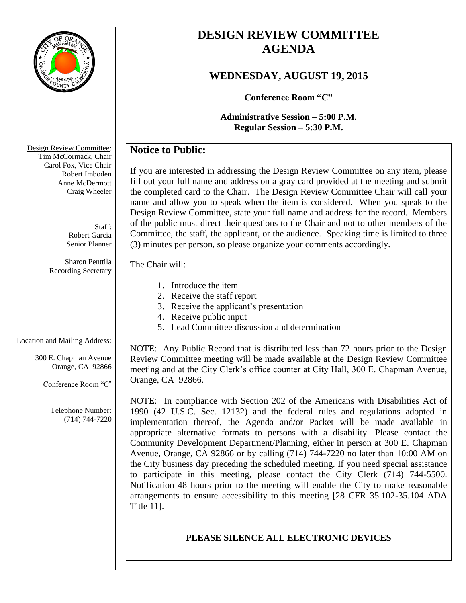

# **DESIGN REVIEW COMMITTEE AGENDA**

## **WEDNESDAY, AUGUST 19, 2015**

**Conference Room "C"**

**Administrative Session – 5:00 P.M. Regular Session – 5:30 P.M.**

## **Notice to Public:**

If you are interested in addressing the Design Review Committee on any item, please fill out your full name and address on a gray card provided at the meeting and submit the completed card to the Chair. The Design Review Committee Chair will call your name and allow you to speak when the item is considered. When you speak to the Design Review Committee, state your full name and address for the record. Members of the public must direct their questions to the Chair and not to other members of the Committee, the staff, the applicant, or the audience. Speaking time is limited to three (3) minutes per person, so please organize your comments accordingly.

### The Chair will:

- 1. Introduce the item
- 2. Receive the staff report
- 3. Receive the applicant's presentation
- 4. Receive public input
- 5. Lead Committee discussion and determination

## Location and Mailing Address:

300 E. Chapman Avenue Orange, CA 92866

Conference Room "C"

Telephone Number: (714) 744-7220

NOTE: Any Public Record that is distributed less than 72 hours prior to the Design Review Committee meeting will be made available at the Design Review Committee meeting and at the City Clerk's office counter at City Hall, 300 E. Chapman Avenue, Orange, CA 92866.

NOTE: In compliance with Section 202 of the Americans with Disabilities Act of 1990 (42 U.S.C. Sec. 12132) and the federal rules and regulations adopted in implementation thereof, the Agenda and/or Packet will be made available in appropriate alternative formats to persons with a disability. Please contact the Community Development Department/Planning, either in person at 300 E. Chapman Avenue, Orange, CA 92866 or by calling (714) 744-7220 no later than 10:00 AM on the City business day preceding the scheduled meeting. If you need special assistance to participate in this meeting, please contact the City Clerk (714) 744-5500. Notification 48 hours prior to the meeting will enable the City to make reasonable arrangements to ensure accessibility to this meeting [28 CFR 35.102-35.104 ADA Title 11].

## **PLEASE SILENCE ALL ELECTRONIC DEVICES**

Design Review Committee: Tim McCormack, Chair Carol Fox, Vice Chair Robert Imboden Anne McDermott Craig Wheeler

> Staff: Robert Garcia Senior Planner

Sharon Penttila Recording Secretary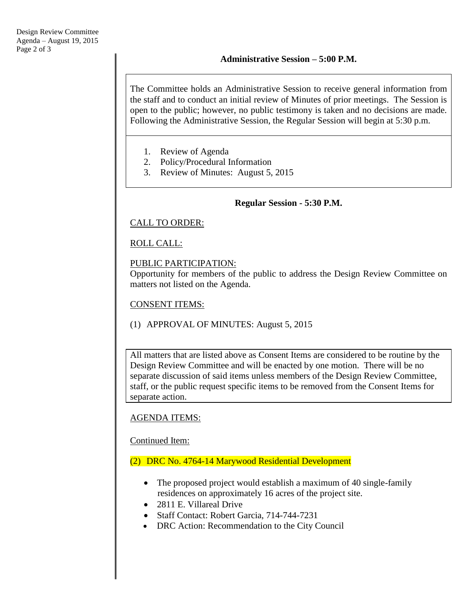The Committee holds an Administrative Session to receive general information from the staff and to conduct an initial review of Minutes of prior meetings. The Session is open to the public; however, no public testimony is taken and no decisions are made. Following the Administrative Session, the Regular Session will begin at 5:30 p.m.

- 1. Review of Agenda
- 2. Policy/Procedural Information
- 3. Review of Minutes: August 5, 2015

## **Regular Session - 5:30 P.M.**

CALL TO ORDER:

ROLL CALL:

## PUBLIC PARTICIPATION:

Opportunity for members of the public to address the Design Review Committee on matters not listed on the Agenda.

CONSENT ITEMS:

(1) APPROVAL OF MINUTES: August 5, 2015

All matters that are listed above as Consent Items are considered to be routine by the Design Review Committee and will be enacted by one motion. There will be no separate discussion of said items unless members of the Design Review Committee, staff, or the public request specific items to be removed from the Consent Items for separate action.

## AGENDA ITEMS:

Continued Item:

(2) DRC No. 4764-14 Marywood Residential Development

- The proposed project would establish a maximum of 40 single-family residences on approximately 16 acres of the project site.
- 2811 E. Villareal Drive
- Staff Contact: Robert Garcia, 714-744-7231
- DRC Action: Recommendation to the City Council